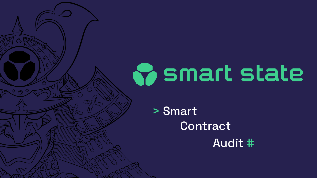

> Smart Contract

# Audit #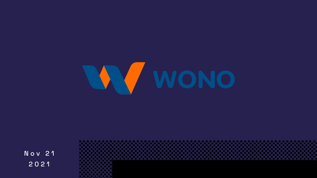

N o v 2 1 2021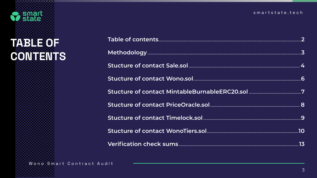

### **TABLE OF CONTENTS**

Wono Smart Contract Audit

#### smartstate.tech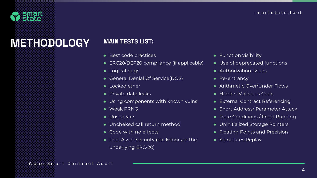Function visibility

- Jse of deprecated functions
- ◆ Authorization issues
- Re-entrancy
- ◆ Arithmetic Over/Under Flows
- ◆ Hidden Malicious Code
- External Contract Referencing
- Short Address/ Parameter Attack
- Race Conditions / Front Running
- Jninitialized Storage Pointers
- **Ioating Points and Precision**
- Signatures Replay

Wono Smart Contract Audit



### METHODOLOGY

| ◆ Best code practices                    | F                        |
|------------------------------------------|--------------------------|
| ◆ ERC20/BEP20 compliance (if applicable) | $\mathbb{R}$             |
| • Logical bugs                           | £                        |
| ◆ General Denial Of Service(DOS)         | F                        |
| Locked ether                             | $\overline{\phantom{a}}$ |
| $\bullet$ Private data leaks             | $\blacklozenge$ $\vdash$ |
| ◆ Using components with known vulns      | E                        |
| ◆ Weak PRNG                              | C<br>C                   |
| ◆ Unsed vars                             | - F                      |
| ◆ Uncheked call return method            | $\overline{\phantom{a}}$ |
| ◆ Code with no effects                   | - F                      |
| ◆ Pool Asset Security (backdoors in the  | S.                       |
| underlying ERC-20)                       |                          |

#### MAIN TESTS LIST: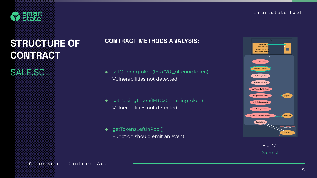Wono Smart Contract Audit

### CONTRACT METHODS ANALYSIS:

- ◆ setOfferingToken(IERC20 \_offeringToken) Vulnerabilities not detected
- ◆ setRaisingToken(IERC20 \_raisingToken) Vulnerabilities not detected
- ◆ getTokensLeftInPool() Function should emit an event

### STRUCTURE OF CONTRACT

<span id="page-4-0"></span>

SALE.SOL



#### Pic. 1.1. Sale.sol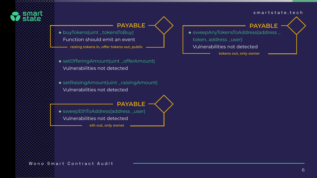Wono Smart Contract Audit

- ◆ buyTokens(uint \_tokensToBuy)
	- Function should emit an event
		- **raising tokens in, offer tokens out, public**
- ◆ setOfferingAmount(uint \_offerAmount) Vulnerabilities not detected
- ◆ setRaisingAmount(uint \_raisingAmount) Vulnerabilities not detected

- ◆ sweepEthToAddress(address\_user)
	- Vulnerabilities not detected



**PAYABLE**

**PAYABLE**

 **eth out, only owner**

◆ sweepAnyTokensToAddress(address \_

token, address \_user)

Vulnerabilities not detected

#### **PAYABLE**

**tokens out, only owner**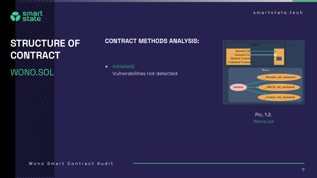Wono Smart Contract Audit

### CONTRACT METHODS ANALYSIS:

◆ initialize()

Vulnerabilities not detected



### STRUCTURE OF CONTRACT



#### Pic. 1.2. Wono.sol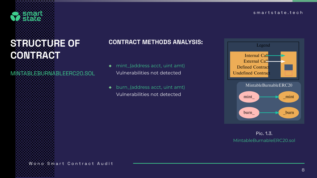Wono Smart Contract Audit

#### CONTRACT METHODS ANALYSIS:

- ◆ mint\_(address acct, uint amt) Vulnerabilities not detected
- ◆ burn\_(address acct, uint amt) Vulnerabilities not detected



### STRUCTURE OF CONTRACT

MINTABLEBURNABLEERC20.SOL



#### Pic. 1.3. MintableBurnableERC20.sol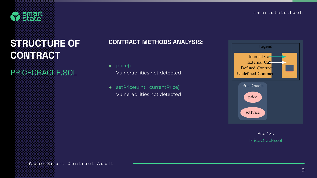9

#### smartstate.tech

#### CONTRACT METHODS ANALYSIS:

- ◆ price() Vulnerabilities not detected
- ◆ setPrice(uint \_currentPrice) Vulnerabilities not detected



### STRUCTURE OF CONTRACT

### PRICEORACLE.SOL



#### Pic. 1.4. PriceOracle.sol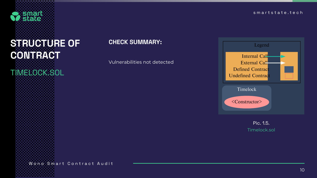Wono Smart Contract Audit

#### CHECK SUMMARY:

Vulnerabilities not detected



### STRUCTURE OF CONTRACT TIMELOCK.SOL



Pic. 1.5. Timelock.sol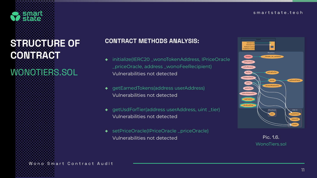11

#### smartstate.tech

### CONTRACT METHODS ANALYSIS:

- ◆ initialize(IERC20 \_wonoTokenAddress, IPriceOracle \_priceOracle, address \_wonoFeeRecipient) Vulnerabilities not detected
- ◆ getEarnedTokens(address userAddress) Vulnerabilities not detected
- ◆ getUsdForTier(address userAddress, uint \_tier) Vulnerabilities not detected
- ◆ setPriceOracle(IPriceOracle \_priceOracle) Vulnerabilities not detected



### STRUCTURE OF CONTRACT

### WONOTIERS.SOL



#### Pic. 1.6. WonoTiers.sol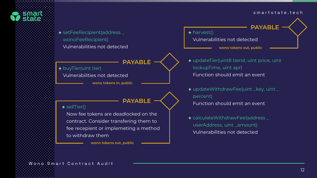

◆ setFeeRecipient(address \_ wonoFeeRecipient) Vulnerabilities not detected

# ◆ harvest()

- ◆ buyTier(uint tier)
	- Vulnerabilities not detected
		- **wono tokens in, public**

Vulnerabilities not detected

### **PAYABLE**

#### **PAYABLE**

#### ◆ sellTier()

**wono tokens out, public**

◆ updateTier(uint8 tierId, uint price, uint Function should emit an event

◆ updateWithdrawFee(uint \_key, uint \_



**wono tokens out, public**

◆ calculateWithdrawFee(address \_ userAddress, uint \_amount) Vulnerabilities not detected

Now fee tokens are deadlocked on the contract. Consider transfering them to fee recepient or implemeting a method to withdraw them

- lockupTime, uint apr)
- percent)
- 

Function should emit an event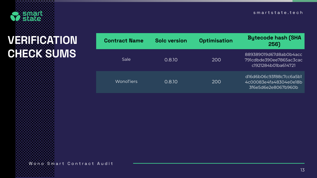

## VERIFICATION CHECK SUMS

#### tion Bytecode hash (SHA 256)

889389019d67d8ab0b4acc 791cdbde390ee7865ac3cac c1921284b01ba614721

| <b>Contract Name</b> | <b>Solc version</b> | Optimisa |
|----------------------|---------------------|----------|
| Sale                 | 0.8.10              | 200      |
| WonoTiers            | 0.8.10              | 200      |

Wono Smart Contract Audit

d16d6b06c93f88c7cc6a5b1 4c00083e4fa48304e0e18b 3f6e5d6e2e8067b960b